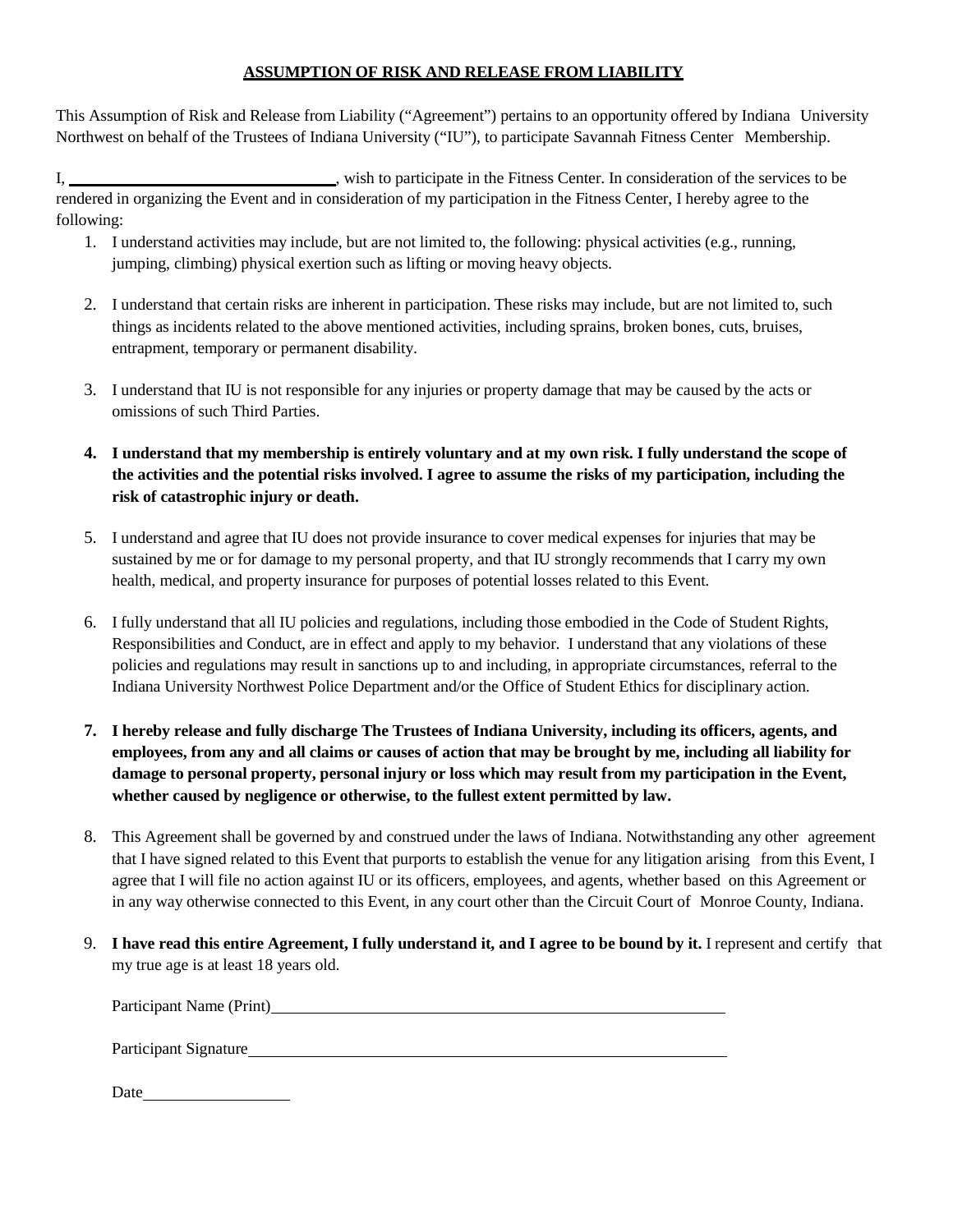#### **ASSUMPTION OF RISK AND RELEASE FROM LIABILITY**

This Assumption of Risk and Release from Liability ("Agreement") pertains to an opportunity offered by Indiana University Northwest on behalf of the Trustees of Indiana University ("IU"), to participate Savannah Fitness Center Membership.

I,  $\frac{1}{2}$ , wish to participate in the Fitness Center. In consideration of the services to be rendered in organizing the Event and in consideration of my participation in the Fitness Center, I hereby agree to the following:

- 1. I understand activities may include, but are not limited to, the following: physical activities (e.g., running, jumping, climbing) physical exertion such as lifting or moving heavy objects.
- 2. I understand that certain risks are inherent in participation. These risks may include, but are not limited to, such things as incidents related to the above mentioned activities, including sprains, broken bones, cuts, bruises, entrapment, temporary or permanent disability.
- 3. I understand that IU is not responsible for any injuries or property damage that may be caused by the acts or omissions of such Third Parties.
- **4. I understand that my membership is entirely voluntary and at my own risk. I fully understand the scope of the activities and the potential risks involved. I agree to assume the risks of my participation, including the risk of catastrophic injury or death.**
- 5. I understand and agree that IU does not provide insurance to cover medical expenses for injuries that may be sustained by me or for damage to my personal property, and that IU strongly recommends that I carry my own health, medical, and property insurance for purposes of potential losses related to this Event.
- 6. I fully understand that all IU policies and regulations, including those embodied in the Code of Student Rights, Responsibilities and Conduct, are in effect and apply to my behavior. I understand that any violations of these policies and regulations may result in sanctions up to and including, in appropriate circumstances, referral to the Indiana University Northwest Police Department and/or the Office of Student Ethics for disciplinary action.
- **7. I hereby release and fully discharge The Trustees of Indiana University, including its officers, agents, and** employees, from any and all claims or causes of action that may be brought by me, including all liability for **damage to personal property, personal injury or loss which may result from my participation in the Event, whether caused by negligence or otherwise, to the fullest extent permitted by law.**
- 8. This Agreement shall be governed by and construed under the laws of Indiana. Notwithstanding any other agreement that I have signed related to this Event that purports to establish the venue for any litigation arising from this Event, I agree that I will file no action against IU or its officers, employees, and agents, whether based on this Agreement or in any way otherwise connected to this Event, in any court other than the Circuit Court of Monroe County, Indiana.
- 9. **I have read this entire Agreement, I fully understand it, and I agree to be bound by it.** I represent and certify that my true age is at least 18 years old.

Participant Name (Print)

Participant Signature

| Date |  |
|------|--|
|      |  |